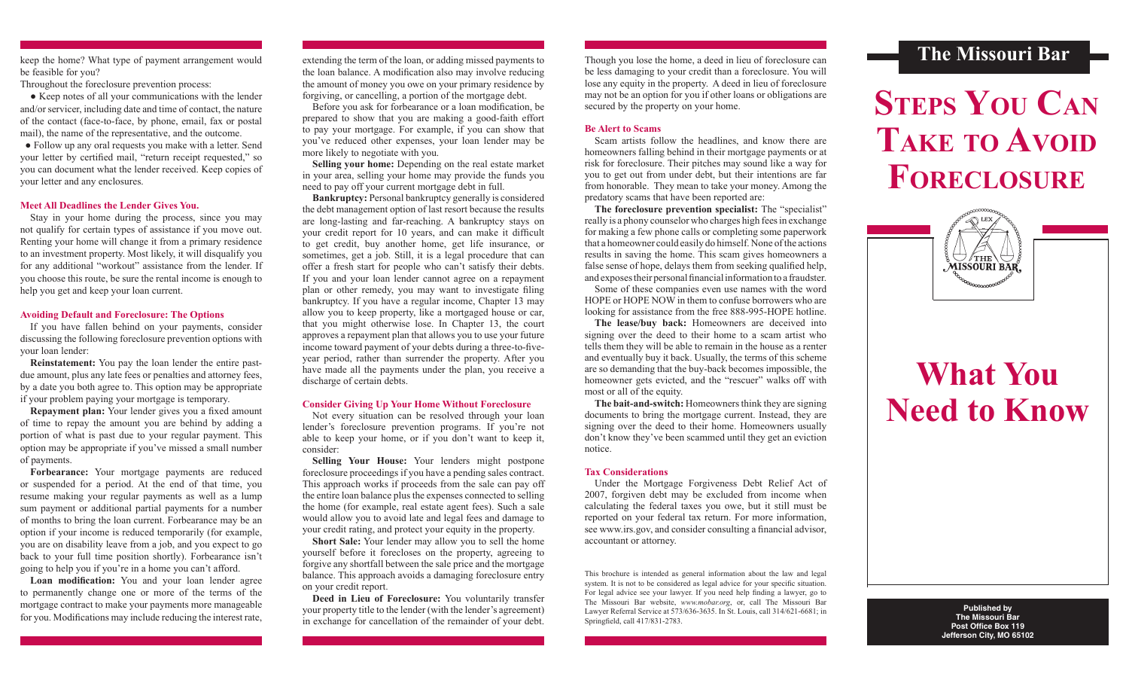be feasible for you?

Throughout the foreclosure prevention process:

 ● Keep notes of all your communications with the lender and/or servicer, including date and time of contact, the nature of the contact (face-to-face, by phone, email, fax or postal mail), the name of the representative, and the outcome.

● Follow up any oral requests you make with a letter. Send your letter by certified mail, "return receipt requested," so you can document what the lender received. Keep copies of your letter and any enclosures.

#### **Meet All Deadlines the Lender Gives You.**

Stay in your home during the process, since you may not qualify for certain types of assistance if you move out. Renting your home will change it from a primary residence to an investment property. Most likely, it will disqualify you for any additional "workout" assistance from the lender. If you choose this route, be sure the rental income is enough to help you get and keep your loan current.

#### **Avoiding Default and Foreclosure: The Options**

 If you have fallen behind on your payments, consider discussing the following foreclosure prevention options with your loan lender:

**Reinstatement:** You pay the loan lender the entire pastdue amount, plus any late fees or penalties and attorney fees, by a date you both agree to. This option may be appropriate if your problem paying your mortgage is temporary.

**Repayment plan:** Your lender gives you a fixed amount of time to repay the amount you are behind by adding a portion of what is past due to your regular payment. This option may be appropriate if you've missed a small number of payments.

**Forbearance:** Your mortgage payments are reduced or suspended for a period. At the end of that time, you resume making your regular payments as well as a lump sum payment or additional partial payments for a number of months to bring the loan current. Forbearance may be an option if your income is reduced temporarily (for example, you are on disability leave from a job, and you expect to go back to your full time position shortly). Forbearance isn't going to help you if you're in a home you can't afford.

 **Loan modification:** You and your loan lender agree to permanently change one or more of the terms of the mortgage contract to make your payments more manageable for you. Modifications may include reducing the interest rate,

the loan balance. A modification also may involve reducing the amount of money you owe on your primary residence by forgiving, or cancelling, a portion of the mortgage debt.

 Before you ask for forbearance or a loan modification, be prepared to show that you are making a good-faith effort to pay your mortgage. For example, if you can show that you've reduced other expenses, your loan lender may be more likely to negotiate with you.

**Selling your home:** Depending on the real estate market in your area, selling your home may provide the funds you need to pay off your current mortgage debt in full.

**Bankruptcy:** Personal bankruptcy generally is considered the debt management option of last resort because the results are long-lasting and far-reaching. A bankruptcy stays on your credit report for 10 years, and can make it difficult to get credit, buy another home, get life insurance, or sometimes, get a job. Still, it is a legal procedure that can offer a fresh start for people who can't satisfy their debts. If you and your loan lender cannot agree on a repayment plan or other remedy, you may want to investigate filing bankruptcy. If you have a regular income, Chapter 13 may allow you to keep property, like a mortgaged house or car, that you might otherwise lose. In Chapter 13, the court approves a repayment plan that allows you to use your future income toward payment of your debts during a three-to-fiveyear period, rather than surrender the property. After you have made all the payments under the plan, you receive a discharge of certain debts.

#### **Consider Giving Up Your Home Without Foreclosure**

Not every situation can be resolved through your loan lender's foreclosure prevention programs. If you're not able to keep your home, or if you don't want to keep it, consider:

**Selling Your House:** Your lenders might postpone foreclosure proceedings if you have a pending sales contract. This approach works if proceeds from the sale can pay off the entire loan balance plus the expenses connected to selling the home (for example, real estate agent fees). Such a sale would allow you to avoid late and legal fees and damage to your credit rating, and protect your equity in the property.

**Short Sale:** Your lender may allow you to sell the home yourself before it forecloses on the property, agreeing to forgive any shortfall between the sale price and the mortgage balance. This approach avoids a damaging foreclosure entry on your credit report.

**Deed in Lieu of Foreclosure:** You voluntarily transfer your property title to the lender (with the lender's agreement) in exchange for cancellation of the remainder of your debt.

Though you lose the home, a deed in lieu of foreclosure can be less damaging to your credit than a foreclosure. You will lose any equity in the property. A deed in lieu of foreclosure may not be an option for you if other loans or obligations are secured by the property on your home.

#### **Be Alert to Scams**

Scam artists follow the headlines, and know there are homeowners falling behind in their mortgage payments or at risk for foreclosure. Their pitches may sound like a way for you to get out from under debt, but their intentions are far from honorable. They mean to take your money. Among the predatory scams that have been reported are:

**The foreclosure prevention specialist:** The "specialist" really is a phony counselor who charges high fees in exchange for making a few phone calls or completing some paperwork that a homeowner could easily do himself. None of the actions results in saving the home. This scam gives homeowners a false sense of hope, delays them from seeking qualified help, and exposestheir personalfinancialinformation to a fraudster.

Some of these companies even use names with the word HOPE or HOPE NOW in them to confuse borrowers who are looking for assistance from the free 888-995-HOPE hotline.

**The lease/buy back:** Homeowners are deceived into signing over the deed to their home to a scam artist who tells them they will be able to remain in the house as a renter and eventually buy it back. Usually, the terms of this scheme are so demanding that the buy-back becomes impossible, the homeowner gets evicted, and the "rescuer" walks off with most or all of the equity.

**The bait-and-switch:** Homeowners think they are signing documents to bring the mortgage current. Instead, they are signing over the deed to their home. Homeowners usually don't know they've been scammed until they get an eviction notice.

#### **Tax Considerations**

Under the Mortgage Forgiveness Debt Relief Act of 2007, forgiven debt may be excluded from income when calculating the federal taxes you owe, but it still must be reported on your federal tax return. For more information, see www.irs.gov, and consider consulting a financial advisor, accountant or attorney.

This brochure is intended as general information about the law and legal system. It is not to be considered as legal advice for your specific situation. For legal advice see your lawyer. If you need help finding a lawyer, go to The Missouri Bar website, *www.mobar.org*, or, call The Missouri Bar Lawyer Referral Service at 573/636-3635. In St. Louis, call 314/621-6681; in Springfield, call 417/831-2783.

### keep the home? What type of payment arrangement would extending the term of the loan, or adding missed payments to Though you lose the home, a deed in lieu of foreclosure can **The Missouri Bar**

# **Steps You Can Take to Avoid Foreclosure**



## **What You Need to Know**

**Published by The Missouri Bar Post Office Box 119 Jefferson City, MO 65102**